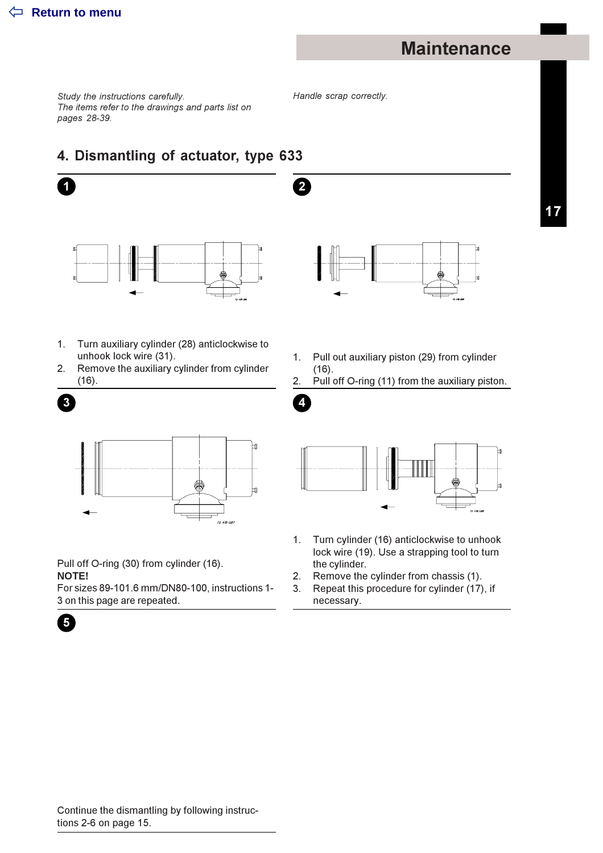1

### **Maintenance**

Study the instructions carefully. The items refer to the drawings and parts list on pages 28-39.

Handle scrap correctly.

 $2^{\circ}$ 

4

### 4. Dismantling of actuator, type 633



**TO AIR-OR** 

- $1.$ Turn auxiliary cylinder (28) anticlockwise to unhook lock wire (31).
- Remove the auxiliary cylinder from cylinder  $2.$  $(16).$



Pull off O-ring (30) from cylinder (16).

**NOTE!** 

For sizes 89-101.6 mm/DN80-100, instructions 1-3 on this page are repeated.

- Pull out auxiliary piston (29) from cylinder  $1.$  $(16).$
- 2. Pull off O-ring (11) from the auxiliary piston.



- $1.$ Turn cylinder (16) anticlockwise to unhook lock wire (19). Use a strapping tool to turn the cylinder.
- $2.$ Remove the cylinder from chassis (1).
- 3. Repeat this procedure for cylinder (17), if necessary.

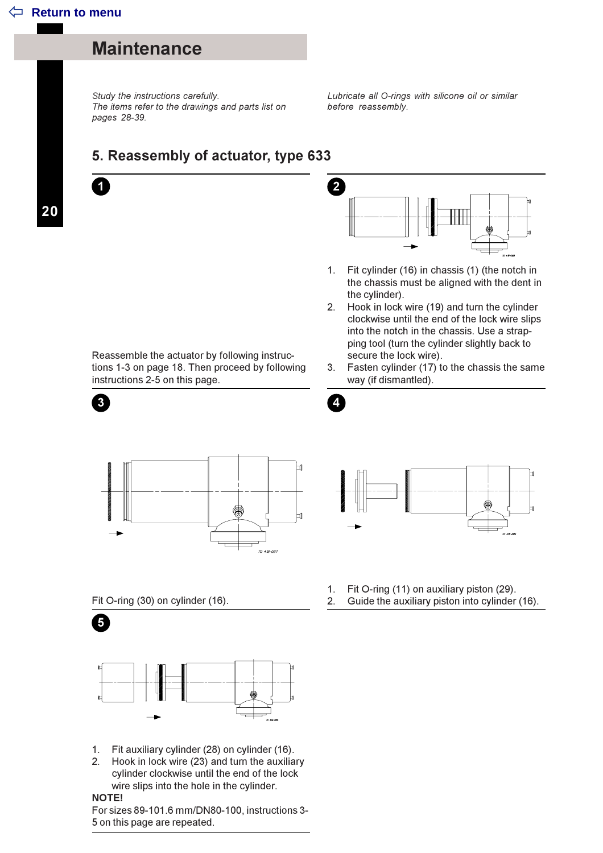#### **Maintenance**

Study the instructions carefully. The items refer to the drawings and parts list on pages 28-39.

Lubricate all O-rings with silicone oil or similar before reassembly.

#### 5. Reassembly of actuator, type 633

20

7

 $\overline{3}$ 



- $1.$ Fit cylinder (16) in chassis (1) (the notch in the chassis must be aligned with the dent in the cylinder).
- 2. Hook in lock wire (19) and turn the cylinder clockwise until the end of the lock wire slips into the notch in the chassis. Use a strapping tool (turn the cylinder slightly back to secure the lock wire).
- 3. Fasten cylinder (17) to the chassis the same way (if dismantled).

 $\boldsymbol{\Lambda}$ 



Reassemble the actuator by following instruc-

instructions 2-5 on this page.

tions 1-3 on page 18. Then proceed by following



Fit O-ring (30) on cylinder (16).



- 1. Fit auxiliary cylinder (28) on cylinder (16).
- Hook in lock wire (23) and turn the auxiliary  $2<sup>1</sup>$ cylinder clockwise until the end of the lock wire slips into the hole in the cylinder.

NOTE!

5

For sizes 89-101.6 mm/DN80-100, instructions 3-5 on this page are repeated.

- Fit O-ring (11) on auxiliary piston (29).  $1.$
- 2. Guide the auxiliary piston into cylinder (16).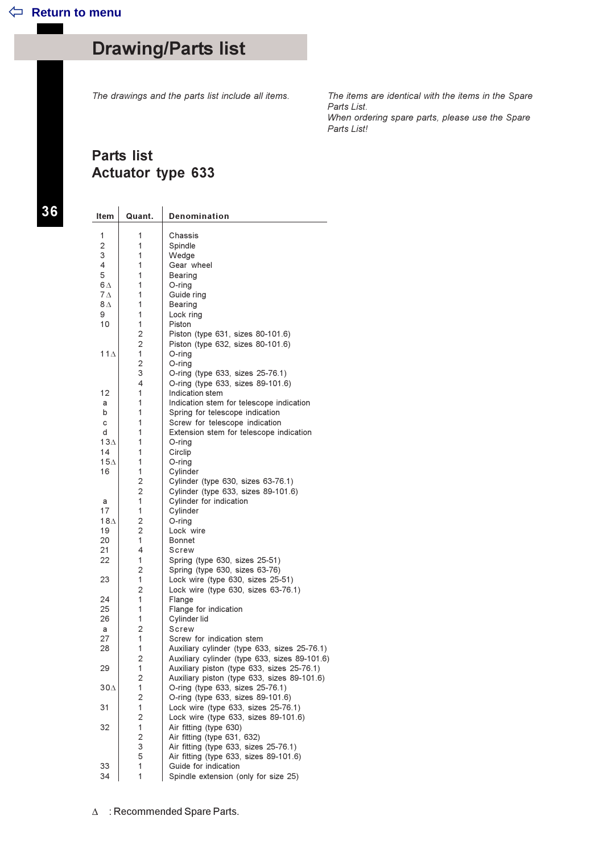The drawings and the parts list include all items.

The items are identical with the items in the Spare Parts List. When ordering spare parts, please use the Spare Parts List!

#### **Parts list Actuator type 633**

36

| <b>Item</b> | Quant.         | Denomination                                                                              |
|-------------|----------------|-------------------------------------------------------------------------------------------|
|             |                |                                                                                           |
| 1           | 1              | Chassis                                                                                   |
| 2           | 1              | Spindle                                                                                   |
| 3           | 1              | Wedge                                                                                     |
| 4           | 1              | Gear wheel                                                                                |
| 5           | 1              | Bearing                                                                                   |
| $6\Delta$   | 1              | O-ring                                                                                    |
| $7\Delta$   | 1              | Guide ring                                                                                |
| 8Δ          | 1<br>1         | Bearing                                                                                   |
| 9<br>10     | 1              | Lock ring<br>Piston                                                                       |
|             | $\overline{2}$ | Piston (type 631, sizes 80-101.6)                                                         |
|             | $\overline{2}$ | Piston (type 632, sizes 80-101.6)                                                         |
| 11 $\Delta$ | 1              | O-ring                                                                                    |
|             | $\overline{2}$ | O-ring                                                                                    |
|             | 3              | O-ring (type 633, sizes 25-76.1)                                                          |
|             | 4              | O-ring (type 633, sizes 89-101.6)                                                         |
| 12          | 1              | Indication stem                                                                           |
| a           | 1              | Indication stem for telescope indication                                                  |
| b           | 1              | Spring for telescope indication                                                           |
| с           | 1              | Screw for telescope indication                                                            |
| d           | 1              | Extension stem for telescope indication                                                   |
| 13 $\Delta$ | 1              | O-ring                                                                                    |
| 14          | 1              | Circlip                                                                                   |
| $15\Lambda$ | 1              | O-ring                                                                                    |
| 16          | 1              | Cvlinder                                                                                  |
|             | 2              | Cylinder (type 630, sizes 63-76.1)                                                        |
|             | $\overline{2}$ | Cylinder (type 633, sizes 89-101.6)                                                       |
| a<br>17     | 1<br>1         | Cylinder for indication<br>Cylinder                                                       |
| $18\Delta$  | 2              | O-ring                                                                                    |
| 19          | 2              | Lock wire                                                                                 |
| 20          | 1              | Bonnet                                                                                    |
| 21          | 4              | Screw                                                                                     |
| 22          | 1              | Spring (type 630, sizes 25-51)                                                            |
|             | $\overline{2}$ | Spring (type 630, sizes 63-76)                                                            |
| 23          | 1              | Lock wire (type 630, sizes 25-51)                                                         |
|             | $\overline{2}$ | Lock wire (type 630, sizes 63-76.1)                                                       |
| 24          | 1              | Flange                                                                                    |
| 25          | 1              | Flange for indication                                                                     |
| 26          | 1              | Cylinder lid                                                                              |
| a           | 2              | Screw                                                                                     |
| 27          | 1              | Screw for indication stem                                                                 |
| 28          | 1              | Auxiliary cylinder (type 633, sizes 25-76.1)                                              |
| 29          | 2<br>1         | Auxiliary cylinder (type 633, sizes 89-101.6)                                             |
|             | $\overline{c}$ | Auxiliary piston (type 633, sizes 25-76.1)<br>Auxiliary piston (type 633, sizes 89-101.6) |
| 30∆         | 1              | O-ring (type 633, sizes 25-76.1)                                                          |
|             | 2              | O-ring (type 633, sizes 89-101.6)                                                         |
| 31          | $\mathbf{1}$   | Lock wire (type 633, sizes 25-76.1)                                                       |
|             | $\mathbf 2$    | Lock wire (type 633, sizes 89-101.6)                                                      |
| 32          | 1              | Air fitting (type 630)                                                                    |
|             | 2              | Air fitting (type 631, 632)                                                               |
|             | 3              | Air fitting (type 633, sizes 25-76.1)                                                     |
|             | 5              | Air fitting (type 633, sizes 89-101.6)                                                    |
| 33          | 1              | Guide for indication                                                                      |
| 34          | 1              | Spindle extension (only for size 25)                                                      |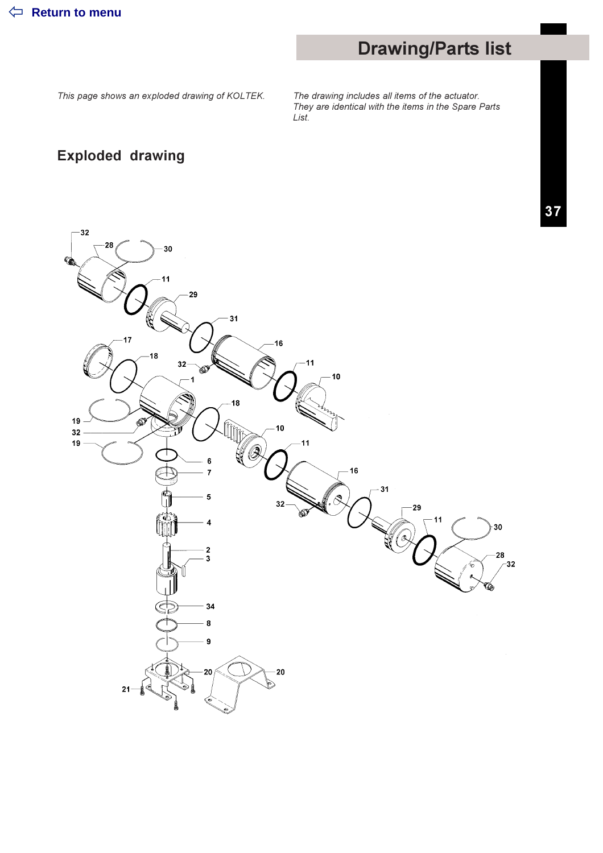This page shows an exploded drawing of KOLTEK.

The drawing includes all items of the actuator.<br>They are identical with the items in the Spare Parts List.

### **Exploded drawing**

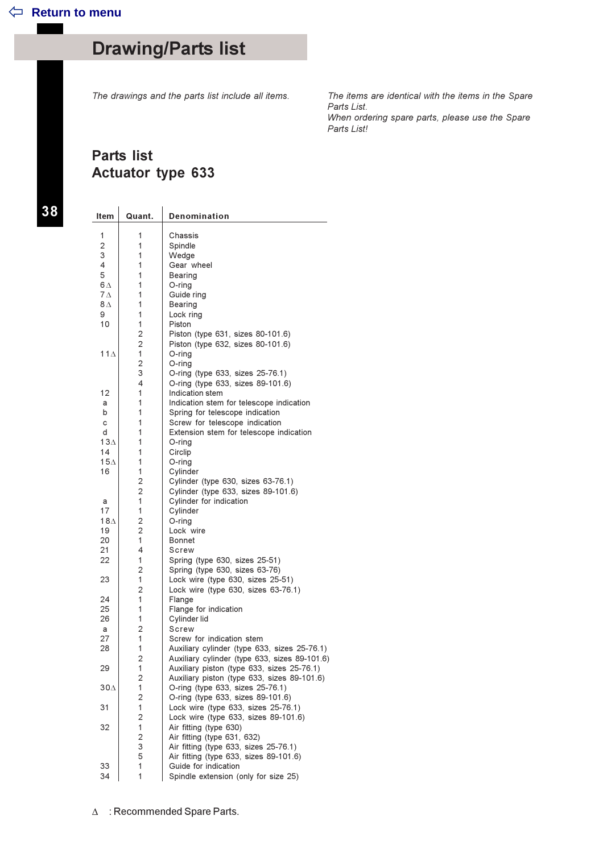The drawings and the parts list include all items.

The items are identical with the items in the Spare Parts List. When ordering spare parts, please use the Spare Parts List!

#### **Parts list Actuator type 633**

38

| <b>Item</b>       | Quant.              | <b>Denomination</b>                                                         |
|-------------------|---------------------|-----------------------------------------------------------------------------|
| 1                 | 1                   | Chassis                                                                     |
| 2                 | 1                   | Spindle                                                                     |
| 3                 | 1                   | Wedge                                                                       |
| 4                 | 1                   | Gear wheel                                                                  |
| 5                 | 1                   | Bearing                                                                     |
| 6 A               | 1                   | O-ring                                                                      |
| $7\Delta$         | 1                   | Guide ring                                                                  |
| $8\,\mathrm{\AA}$ | 1                   | Bearing                                                                     |
| 9                 | 1                   | Lock ring                                                                   |
| 10                | 1                   | Piston                                                                      |
|                   | 2                   | Piston (type 631, sizes 80-101.6)                                           |
|                   | $\overline{2}$      | Piston (type 632, sizes 80-101.6)                                           |
| $11\Delta$        | 1                   | O-ring                                                                      |
|                   | $\overline{c}$      | O-ring                                                                      |
|                   | 3<br>4              | O-ring (type 633, sizes 25-76.1)                                            |
| 12                | 1                   | O-ring (type 633, sizes 89-101.6)<br>Indication stem                        |
| a                 | 1                   | Indication stem for telescope indication                                    |
| b                 | 1                   | Spring for telescope indication                                             |
| c                 | 1                   | Screw for telescope indication                                              |
| d                 | 1                   | Extension stem for telescope indication                                     |
| 13 $\Delta$       | 1                   | O-ring                                                                      |
| 14                | 1                   | Circlip                                                                     |
| $15\Lambda$       | 1                   | O-ring                                                                      |
| 16                | 1                   | Cylinder                                                                    |
|                   | $\overline{2}$      | Cylinder (type 630, sizes 63-76.1)                                          |
|                   | $\overline{2}$      | Cylinder (type 633, sizes 89-101.6)                                         |
| a                 | 1                   | Cylinder for indication                                                     |
| 17                | 1                   | Cylinder                                                                    |
| 18 $\Delta$       | 2                   | O-ring                                                                      |
| 19                | 2                   | Lock wire                                                                   |
| 20                | 1                   | Bonnet                                                                      |
| 21<br>22          | 4<br>1              | Screw                                                                       |
|                   | 2                   | Spring (type 630, sizes 25-51)<br>Spring (type 630, sizes 63-76)            |
| 23                | 1                   | Lock wire (type 630, sizes 25-51)                                           |
|                   | $\overline{2}$      | Lock wire (type 630, sizes 63-76.1)                                         |
| 24                | 1                   | Flange                                                                      |
| 25                | 1                   | Flange for indication                                                       |
| 26                | 1                   | Cylinder lid                                                                |
| a                 | 2                   | Screw                                                                       |
| 27                | 1                   | Screw for indication stem                                                   |
| 28                | 1                   | Auxiliary cylinder (type 633, sizes 25-76.1)                                |
|                   | 2                   | Auxiliary cylinder (type 633, sizes 89-101.6)                               |
| 29                | 1                   | Auxiliary piston (type 633, sizes 25-76.1)                                  |
|                   | $\overline{2}$      | Auxiliary piston (type 633, sizes 89-101.6)                                 |
| 30∆               | $\mathbf{1}$        | O-ring (type 633, sizes 25-76.1)                                            |
|                   | 2                   | O-ring (type 633, sizes 89-101.6)                                           |
| 31                | 1<br>$\overline{c}$ | Lock wire (type 633, sizes 25-76.1)<br>Lock wire (type 633, sizes 89-101.6) |
| 32                | 1                   | Air fitting (type 630)                                                      |
|                   | 2                   | Air fitting (type 631, 632)                                                 |
|                   | 3                   | Air fitting (type 633, sizes 25-76.1)                                       |
|                   | 5                   | Air fitting (type 633, sizes 89-101.6)                                      |
| 33                | 1                   | Guide for indication                                                        |
| 34                | 1                   | Spindle extension (only for size 25)                                        |